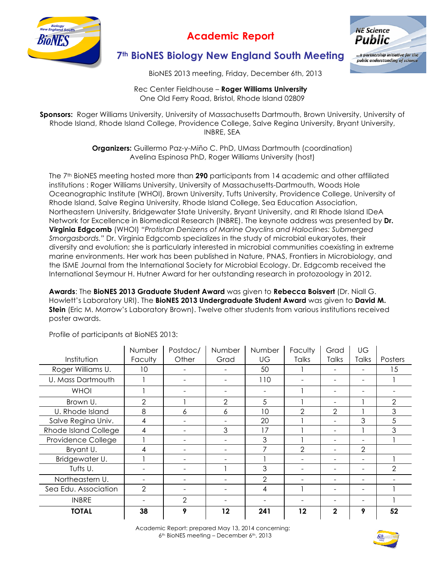

## **Academic Report**



### **7th BioNES Biology New England South Meeting**

BioNES 2013 meeting, Friday, December 6th, 2013

Rec Center Fieldhouse – **Roger Williams University** One Old Ferry Road, Bristol, Rhode Island 02809

**Sponsors:** Roger Williams University, University of Massachusetts Dartmouth, Brown University, University of Rhode Island, Rhode Island College, Providence College, Salve Regina University, Bryant University, INBRE, SEA

> **Organizers:** Guillermo Paz-y-Miño C. PhD, UMass Dartmouth (coordination) Avelina Espinosa PhD, Roger Williams University (host)

The 7th BioNES meeting hosted more than **290** participants from 14 academic and other affiliated institutions : Roger Williams University, University of Massachusetts-Dartmouth, Woods Hole Oceanographic Institute (WHOI), Brown University, Tufts University, Providence College, University of Rhode Island, Salve Regina University, Rhode Island College, Sea Education Association, Northeastern University, Bridgewater State University, Bryant University, and RI Rhode Island IDeA Network for Excellence in Biomedical Research (INBRE). The keynote address was presented by **Dr. Virginia Edgcomb** (WHOI) *"Protistan Denizens of Marine Oxyclins and Haloclines: Submerged Smorgasbords."* Dr. Virginia Edgcomb specializes in the study of microbial eukaryotes, their diversity and evolution; she is particularly interested in microbial communities coexisting in extreme marine environments. Her work has been published in Nature, PNAS, Frontiers in Microbiology, and the ISME Journal from the International Society for Microbial Ecology. Dr. Edgcomb received the International Seymour H. Hutner Award for her outstanding research in protozoology in 2012.

**Awards**: The **BioNES 2013 Graduate Student Award** was given to **Rebecca Boisvert** (Dr. Niall G. Howlett's Laboratory URI). The **BioNES 2013 Undergraduate Student Award** was given to **David M. Stein** (Eric M. Morrow's Laboratory Brown). Twelve other students from various institutions received poster awards.

|                      | Number                   | Postdoc/                 | Number | Number         | Faculty       | Grad                     | UG            |                |
|----------------------|--------------------------|--------------------------|--------|----------------|---------------|--------------------------|---------------|----------------|
| Institution          | <b>Faculty</b>           | Other                    | Grad   | UG             | <b>Talks</b>  | Talks                    | Talks         | Posters        |
| Roger Williams U.    | 10                       |                          |        | 50             |               |                          |               | 15             |
| U. Mass Dartmouth    |                          |                          |        | 110            |               | $\overline{\phantom{0}}$ | -             |                |
| <b>WHOI</b>          |                          | $\overline{\phantom{0}}$ | -      | -              |               | -                        | -             | -              |
| Brown U.             | 2                        |                          | 2      | 5              |               |                          |               | $\overline{2}$ |
| U. Rhode Island      | 8                        | 6                        | 6      | 10             | 2             | $\overline{2}$           |               | 3              |
| Salve Regina Univ.   | 4                        |                          |        | 20             |               | $\overline{\phantom{a}}$ | 3             | 5              |
| Rhode Island College | 4                        |                          | 3      | 17             |               |                          |               | 3              |
| Providence College   |                          |                          |        | 3              |               | ۰                        |               |                |
| Bryant U.            | 4                        |                          |        | 7              | $\mathcal{P}$ |                          | $\mathcal{P}$ |                |
| Bridgewater U.       |                          |                          |        |                |               |                          | ۰             |                |
| Tufts U.             | $\overline{\phantom{0}}$ |                          |        | 3              |               | $\overline{\phantom{0}}$ |               | $\overline{2}$ |
| Northeastern U.      | -                        |                          |        | $\overline{2}$ |               |                          | -             |                |
| Sea Edu. Association | 2                        |                          |        | 4              |               |                          |               |                |
| <b>INBRE</b>         |                          | $\mathfrak{D}$           |        |                |               | $\overline{\phantom{0}}$ | -             |                |
| <b>TOTAL</b>         | 38                       | 9                        | 12     | 241            | $12 \,$       | $\mathbf{2}$             | 9             | 52             |

Profile of participants at BioNES 2013: